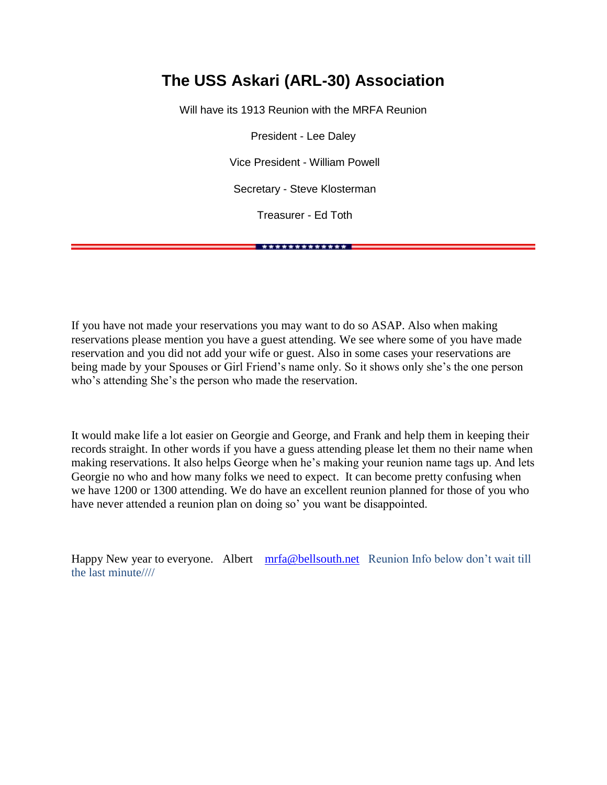#### **The USS Askari (ARL-30) Association**

Will have its 1913 Reunion with the MRFA Reunion

President - Lee Daley

Vice President - William Powell

Secretary - Steve Klosterman

Treasurer - Ed Toth

\* \*\*\*\*\*\*\*\*\*\*\*\*\* **\*** 

If you have not made your reservations you may want to do so ASAP. Also when making reservations please mention you have a guest attending. We see where some of you have made reservation and you did not add your wife or guest. Also in some cases your reservations are being made by your Spouses or Girl Friend's name only. So it shows only she's the one person who's attending She's the person who made the reservation.

It would make life a lot easier on Georgie and George, and Frank and help them in keeping their records straight. In other words if you have a guess attending please let them no their name when making reservations. It also helps George when he's making your reunion name tags up. And lets Georgie no who and how many folks we need to expect. It can become pretty confusing when we have 1200 or 1300 attending. We do have an excellent reunion planned for those of you who have never attended a reunion plan on doing so' you want be disappointed.

Happy New year to everyone. Albert [mrfa@bellsouth.net](mailto:mrfa@bellsouth.net)Reunion Info below don't wait till the last minute////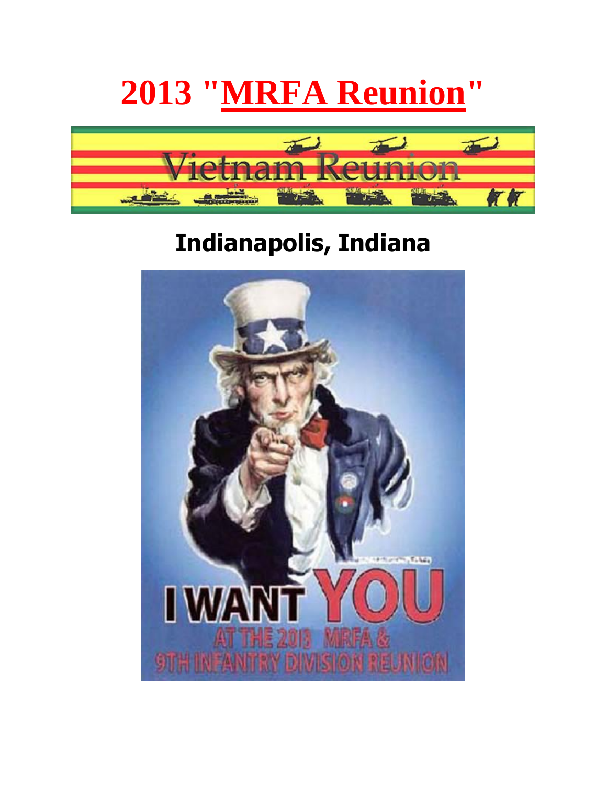# **2013 "MRFA Reunion"**



## **Indianapolis, Indiana**

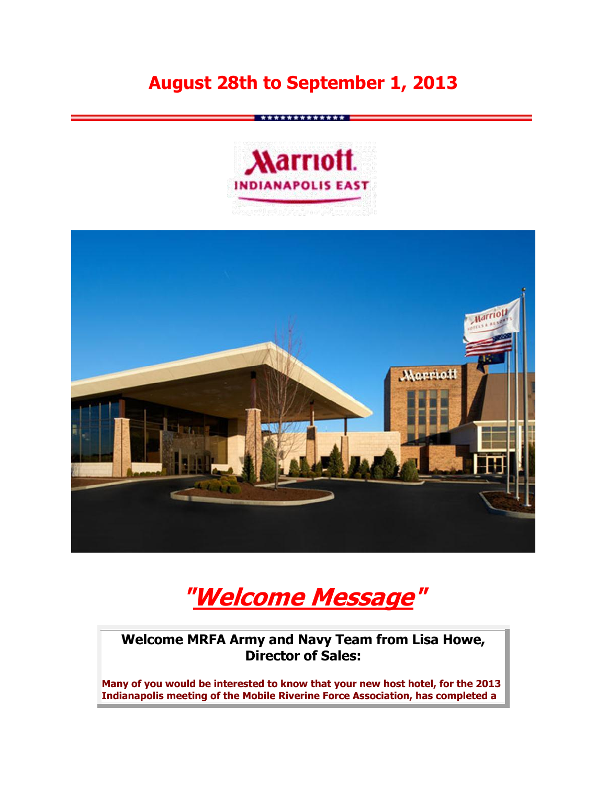### **August 28th to September 1, 2013**





**"Welcome Message"**

**Welcome MRFA Army and Navy Team from Lisa Howe, Director of Sales:**

**Many of you would be interested to know that your new host hotel, for the 2013 Indianapolis meeting of the Mobile Riverine Force Association, has completed a**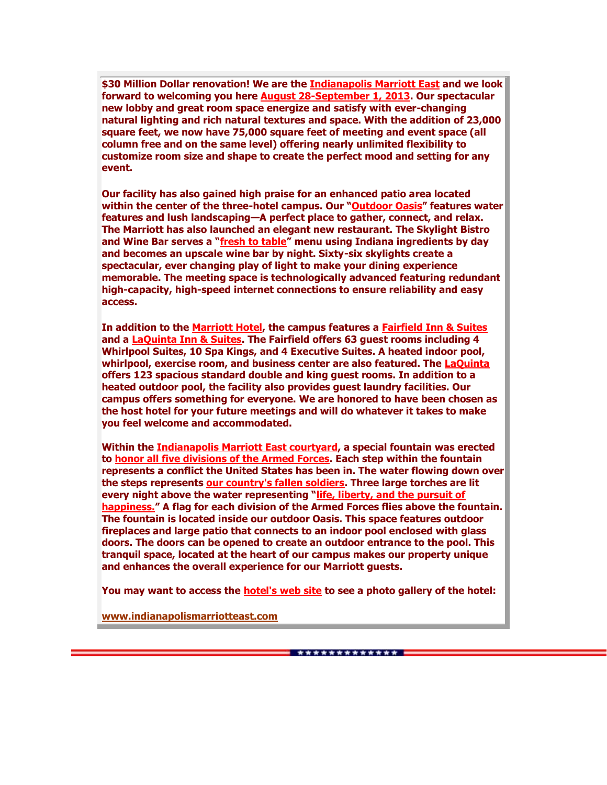**\$30 Million Dollar renovation! We are the Indianapolis Marriott East and we look forward to welcoming you here August 28-September 1, 2013. Our spectacular new lobby and great room space energize and satisfy with ever-changing natural lighting and rich natural textures and space. With the addition of 23,000 square feet, we now have 75,000 square feet of meeting and event space (all column free and on the same level) offering nearly unlimited flexibility to customize room size and shape to create the perfect mood and setting for any event.** 

**Our facility has also gained high praise for an enhanced patio area located within the center of the three-hotel campus. Our "Outdoor Oasis" features water features and lush landscaping—A perfect place to gather, connect, and relax. The Marriott has also launched an elegant new restaurant. The Skylight Bistro and Wine Bar serves a "fresh to table" menu using Indiana ingredients by day and becomes an upscale wine bar by night. Sixty-six skylights create a spectacular, ever changing play of light to make your dining experience memorable. The meeting space is technologically advanced featuring redundant high-capacity, high-speed internet connections to ensure reliability and easy access.** 

**In addition to the Marriott Hotel, the campus features a Fairfield Inn & Suites and a LaQuinta Inn & Suites. The Fairfield offers 63 guest rooms including 4 Whirlpool Suites, 10 Spa Kings, and 4 Executive Suites. A heated indoor pool, whirlpool, exercise room, and business center are also featured. The LaQuinta offers 123 spacious standard double and king guest rooms. In addition to a heated outdoor pool, the facility also provides guest laundry facilities. Our campus offers something for everyone. We are honored to have been chosen as the host hotel for your future meetings and will do whatever it takes to make you feel welcome and accommodated.**

**Within the Indianapolis Marriott East courtyard, a special fountain was erected to honor all five divisions of the Armed Forces. Each step within the fountain represents a conflict the United States has been in. The water flowing down over the steps represents our country's fallen soldiers. Three large torches are lit every night above the water representing "life, liberty, and the pursuit of happiness." A flag for each division of the Armed Forces flies above the fountain. The fountain is located inside our outdoor Oasis. This space features outdoor fireplaces and large patio that connects to an indoor pool enclosed with glass doors. The doors can be opened to create an outdoor entrance to the pool. This tranquil space, located at the heart of our campus makes our property unique and enhances the overall experience for our Marriott guests.**

**You may want to access the hotel's web site to see a photo gallery of the hotel:**

**[www.indianapolismarriotteast.com](http://www.indianapolismarriotteast.com/)**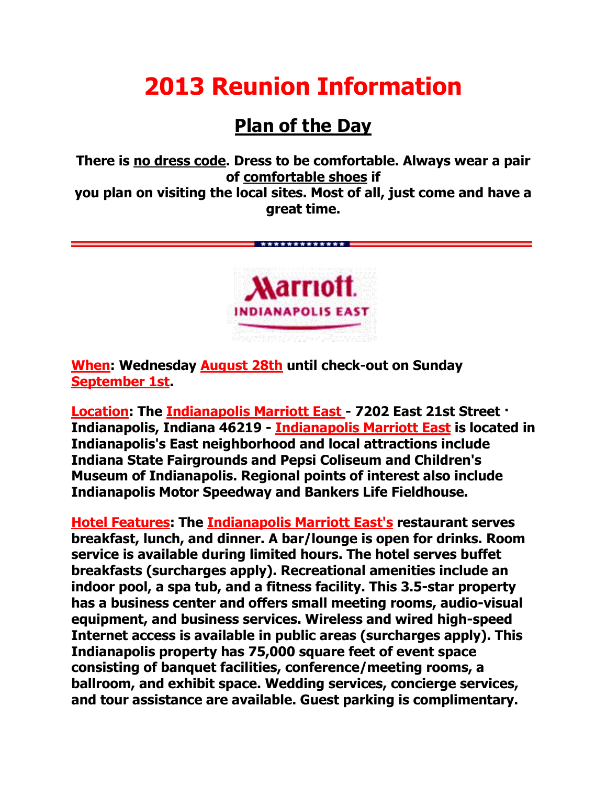## **2013 Reunion Information**

## **Plan of the Day**

**There is no dress code. Dress to be comfortable. Always wear a pair of comfortable shoes if you plan on visiting the local sites. Most of all, just come and have a great time.**

\*\*\*\*\*\*\*\*\*\*\*\*\*\*



**When: Wednesday August 28th until check-out on Sunday September 1st.** 

**Location: The Indianapolis Marriott East - 7202 East 21st Street · Indianapolis, Indiana 46219 - Indianapolis Marriott East is located in Indianapolis's East neighborhood and local attractions include Indiana State Fairgrounds and Pepsi Coliseum and Children's Museum of Indianapolis. Regional points of interest also include Indianapolis Motor Speedway and Bankers Life Fieldhouse.**

**Hotel Features: The Indianapolis Marriott East's restaurant serves breakfast, lunch, and dinner. A bar/lounge is open for drinks. Room service is available during limited hours. The hotel serves buffet breakfasts (surcharges apply). Recreational amenities include an indoor pool, a spa tub, and a fitness facility. This 3.5-star property has a business center and offers small meeting rooms, audio-visual equipment, and business services. Wireless and wired high-speed Internet access is available in public areas (surcharges apply). This Indianapolis property has 75,000 square feet of event space consisting of banquet facilities, conference/meeting rooms, a ballroom, and exhibit space. Wedding services, concierge services, and tour assistance are available. Guest parking is complimentary.**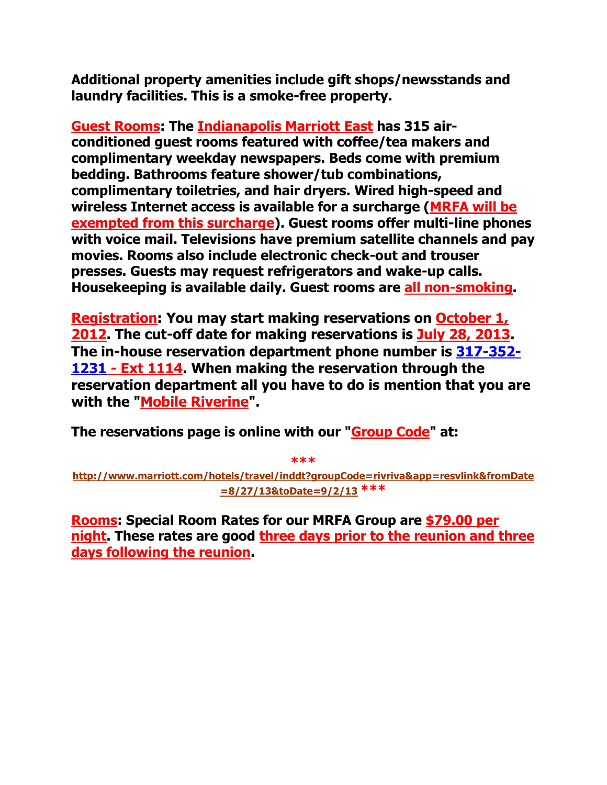**Additional property amenities include gift shops/newsstands and laundry facilities. This is a smoke-free property.**

**Guest Rooms: The Indianapolis Marriott East has 315 airconditioned guest rooms featured with coffee/tea makers and complimentary weekday newspapers. Beds come with premium bedding. Bathrooms feature shower/tub combinations, complimentary toiletries, and hair dryers. Wired high-speed and wireless Internet access is available for a surcharge (MRFA will be exempted from this surcharge). Guest rooms offer multi-line phones with voice mail. Televisions have premium satellite channels and pay movies. Rooms also include electronic check-out and trouser presses. Guests may request refrigerators and wake-up calls. Housekeeping is available daily. Guest rooms are all non-smoking.** 

**Registration: You may start making reservations on October 1, 2012. The cut-off date for making reservations is July 28, 2013. The in-house reservation department phone number is [317-352-](tel:317-352-1231) [1231](tel:317-352-1231) - Ext 1114. When making the reservation through the reservation department all you have to do is mention that you are**  with the "**Mobile Riverine"**.

**The reservations page is online with our "Group Code" at:**

**\*\*\*** 

**[http://www.marriott.com/hotels/travel/inddt?groupCode=rivriva&app=resvlink&fromDate](http://www.marriott.com/hotels/travel/inddt?groupCode=rivriva&app=resvlink&fromDate=8/27/13&toDate=9/2/13) [=8/27/13&toDate=9/2/13](http://www.marriott.com/hotels/travel/inddt?groupCode=rivriva&app=resvlink&fromDate=8/27/13&toDate=9/2/13) \*\*\***

**Rooms: Special Room Rates for our MRFA Group are \$79.00 per night. These rates are good three days prior to the reunion and three days following the reunion.**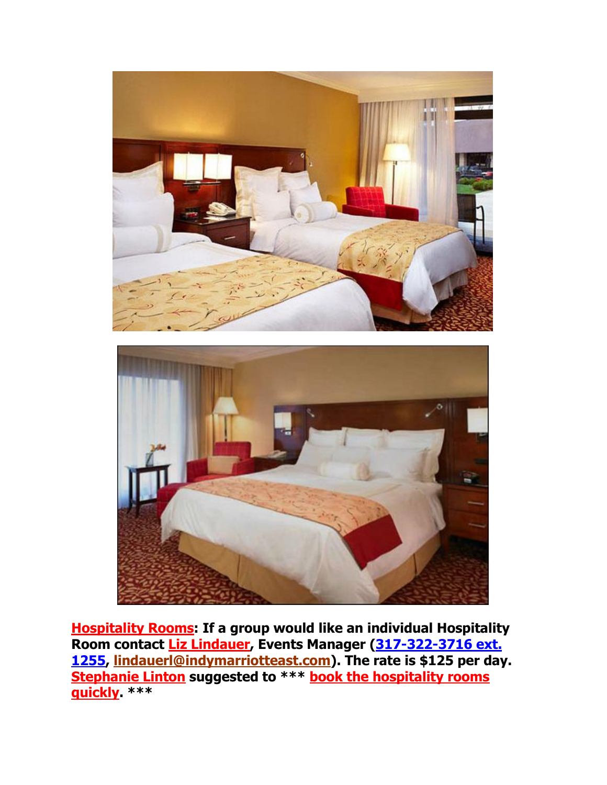



**Hospitality Rooms: If a group would like an individual Hospitality Room contact Liz Lindauer, Events Manager [\(317-322-3716 ext.](tel:317-322-3716%20ext.%201255)  [1255,](tel:317-322-3716%20ext.%201255) [lindauerl@indymarriotteast.com\)](mailto:lindauer1@indymarriotteast.com). The rate is \$125 per day. Stephanie Linton suggested to \*\*\* book the hospitality rooms quickly. \*\*\***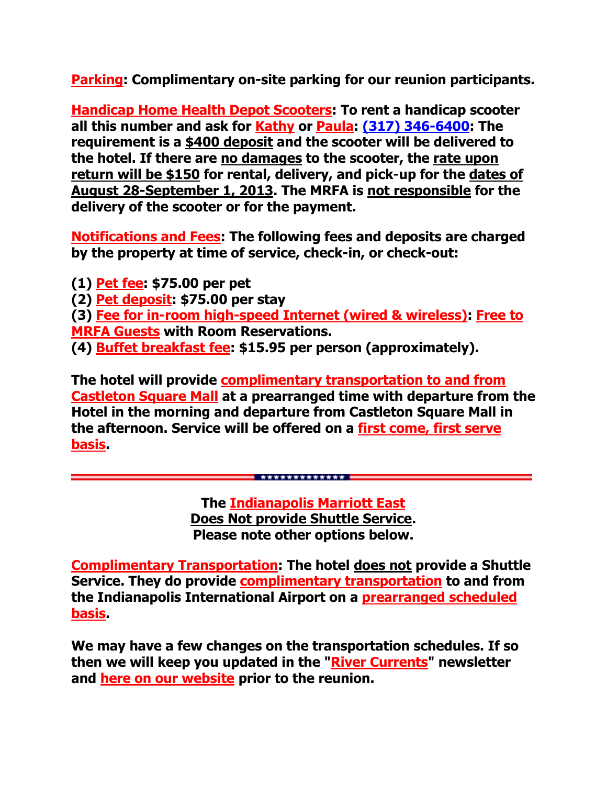**Parking: Complimentary on-site parking for our reunion participants.**

**Handicap Home Health Depot Scooters: To rent a handicap scooter all this number and ask for Kathy or Paula: [\(317\) 346-6400:](tel:%28317%29%20346-6400) The requirement is a \$400 deposit and the scooter will be delivered to the hotel. If there are no damages to the scooter, the rate upon return will be \$150 for rental, delivery, and pick-up for the dates of August 28-September 1, 2013. The MRFA is not responsible for the delivery of the scooter or for the payment.**

**Notifications and Fees: The following fees and deposits are charged by the property at time of service, check-in, or check-out:** 

**(1) Pet fee: \$75.00 per pet**

**(2) Pet deposit: \$75.00 per stay**

**(3) Fee for in-room high-speed Internet (wired & wireless): Free to MRFA Guests with Room Reservations.**

**(4) Buffet breakfast fee: \$15.95 per person (approximately).**

**The hotel will provide complimentary transportation to and from Castleton Square Mall at a prearranged time with departure from the Hotel in the morning and departure from Castleton Square Mall in the afternoon. Service will be offered on a first come, first serve basis.** 

> **The Indianapolis Marriott East Does Not provide Shuttle Service. Please note other options below.**

\*\*\*\*\*\*\*\*\*\*\*\*\*\*

**Complimentary Transportation: The hotel does not provide a Shuttle Service. They do provide complimentary transportation to and from the Indianapolis International Airport on a prearranged scheduled basis.** 

**We may have a few changes on the transportation schedules. If so then we will keep you updated in the "River Currents" newsletter and here on our website prior to the reunion.**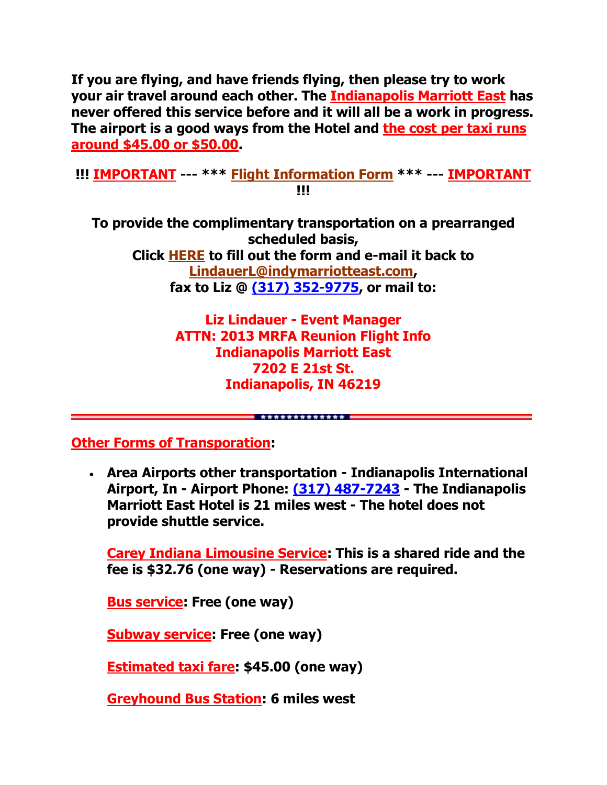**If you are flying, and have friends flying, then please try to work your air travel around each other. The Indianapolis Marriott East has never offered this service before and it will all be a work in progress. The airport is a good ways from the Hotel and the cost per taxi runs around \$45.00 or \$50.00.**

**!!! IMPORTANT --- \*\*\* [Flight Information Form](http://www.mrfa.org/pdf/2013%20MRFA%20Reunion%20Flight%20Information.pdf) \*\*\* --- IMPORTANT !!!**

**To provide the complimentary transportation on a prearranged scheduled basis, Click [HERE](http://www.mrfa.org/pdf/2013%20MRFA%20Reunion%20Flight%20Information.pdf) to fill out the form and e-mail it back to [LindauerL@indymarriotteast.com,](mailto:LindauerL@indymarriotteast.com) fax to Liz @ [\(317\) 352-9775,](tel:%28317%29%20352-9775) or mail to:** 

> **Liz Lindauer - Event Manager ATTN: 2013 MRFA Reunion Flight Info Indianapolis Marriott East 7202 E 21st St. Indianapolis, IN 46219**

> > \*\*\*\*\*\*\*\*\*\*\*\*\*\*

**Other Forms of Transporation:**

 **Area Airports other transportation - Indianapolis International Airport, In - Airport Phone: [\(317\) 487-7243](tel:%28317%29%20487-7243) - The Indianapolis Marriott East Hotel is 21 miles west - The hotel does not provide shuttle service.**

**Carey Indiana Limousine Service: This is a shared ride and the fee is \$32.76 (one way) - Reservations are required.**

**Bus service: Free (one way)** 

**Subway service: Free (one way)** 

**Estimated taxi fare: \$45.00 (one way)** 

**Greyhound Bus Station: 6 miles west**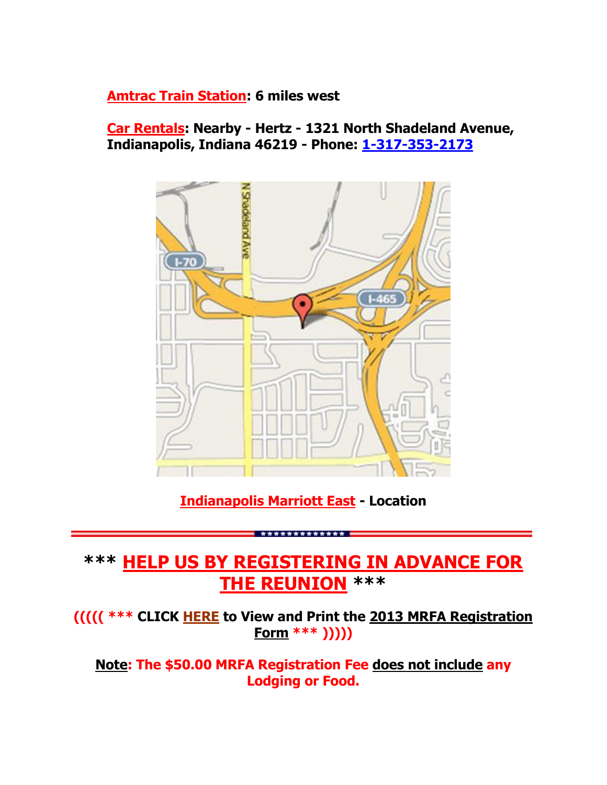#### **Amtrac Train Station: 6 miles west**

**Car Rentals: Nearby - Hertz - 1321 North Shadeland Avenue, Indianapolis, Indiana 46219 - Phone: [1-317-353-2173](tel:1-317-353-2173)**



#### **Indianapolis Marriott East - Location**

\*\*\*\*\*\*\*\*\*\*\*\*\*

### **\*\*\* HELP US BY REGISTERING IN ADVANCE FOR THE REUNION \*\*\***

**((((( \*\*\* CLICK [HERE](http://www.mrfa.org/pdf/2013_MRFA_RegistrationForm04.pdf) to View and Print the 2013 MRFA Registration Form \*\*\* )))))**

**Note: The \$50.00 MRFA Registration Fee does not include any Lodging or Food.**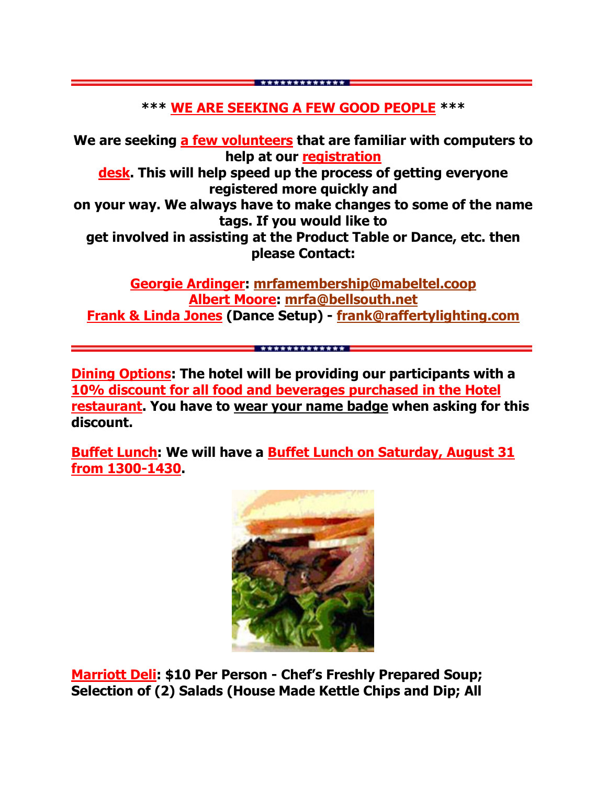#### **\*\*\* WE ARE SEEKING A FEW GOOD PEOPLE \*\*\***

\*\*\*\*\*\*\*\*\*\*\*\*\*

**We are seeking a few volunteers that are familiar with computers to help at our registration desk. This will help speed up the process of getting everyone registered more quickly and on your way. We always have to make changes to some of the name tags. If you would like to get involved in assisting at the Product Table or Dance, etc. then please Contact:**

**Georgie Ardinger: [mrfamembership@mabeltel.coop](mailto:mrfamembership@mabeltel.coop) Albert Moore: [mrfa@bellsouth.net](mailto:mrfa@bellsouth.net) Frank & Linda Jones (Dance Setup) - [frank@raffertylighting.com](mailto:frank@raffertylighting.com)**

\*\*\*\*\*\*\*\*\*\*\*\*\*\*

**Dining Options: The hotel will be providing our participants with a 10% discount for all food and beverages purchased in the Hotel restaurant. You have to wear your name badge when asking for this discount.**

**Buffet Lunch: We will have a Buffet Lunch on Saturday, August 31 from 1300-1430.** 



**Marriott Deli: \$10 Per Person - Chef's Freshly Prepared Soup; Selection of (2) Salads (House Made Kettle Chips and Dip; All**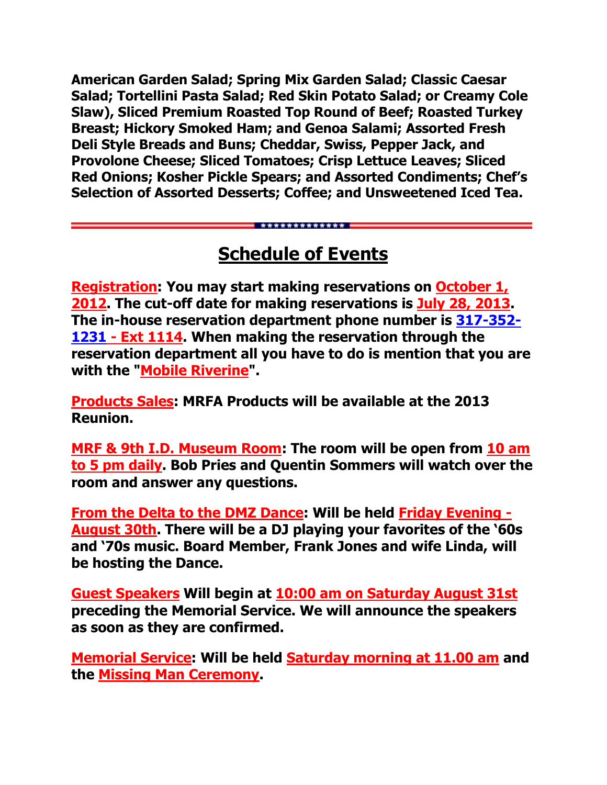**American Garden Salad; Spring Mix Garden Salad; Classic Caesar Salad; Tortellini Pasta Salad; Red Skin Potato Salad; or Creamy Cole Slaw), Sliced Premium Roasted Top Round of Beef; Roasted Turkey Breast; Hickory Smoked Ham; and Genoa Salami; Assorted Fresh Deli Style Breads and Buns; Cheddar, Swiss, Pepper Jack, and Provolone Cheese; Sliced Tomatoes; Crisp Lettuce Leaves; Sliced Red Onions; Kosher Pickle Spears; and Assorted Condiments; Chef's Selection of Assorted Desserts; Coffee; and Unsweetened Iced Tea.**

## **Schedule of Events**

\*\*\*\*\*\*\*\*\*\*\*\*\*\*

**Registration: You may start making reservations on October 1, 2012. The cut-off date for making reservations is July 28, 2013. The in-house reservation department phone number is [317-352-](tel:317-352-1231) [1231](tel:317-352-1231) - Ext 1114. When making the reservation through the reservation department all you have to do is mention that you are with the "Mobile Riverine".** 

**Products Sales: MRFA Products will be available at the 2013 Reunion.**

**MRF & 9th I.D. Museum Room: The room will be open from 10 am to 5 pm daily. Bob Pries and Quentin Sommers will watch over the room and answer any questions.**

**From the Delta to the DMZ Dance: Will be held Friday Evening - August 30th. There will be a DJ playing your favorites of the '60s and '70s music. Board Member, Frank Jones and wife Linda, will be hosting the Dance.**

**Guest Speakers Will begin at 10:00 am on Saturday August 31st preceding the Memorial Service. We will announce the speakers as soon as they are confirmed.**

**Memorial Service: Will be held Saturday morning at 11.00 am and the Missing Man Ceremony.**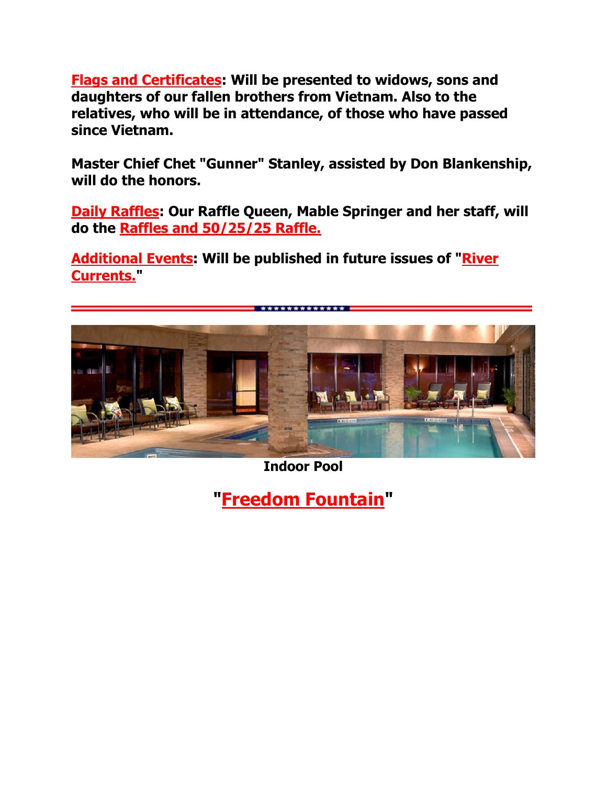**Flags and Certificates: Will be presented to widows, sons and daughters of our fallen brothers from Vietnam. Also to the relatives, who will be in attendance, of those who have passed since Vietnam.** 

**Master Chief Chet "Gunner" Stanley, assisted by Don Blankenship, will do the honors.**

**Daily Raffles: Our Raffle Queen, Mable Springer and her staff, will do the Raffles and 50/25/25 Raffle.**

**Additional Events: Will be published in future issues of "River Currents."**



**Indoor Pool**

**"Freedom Fountain"**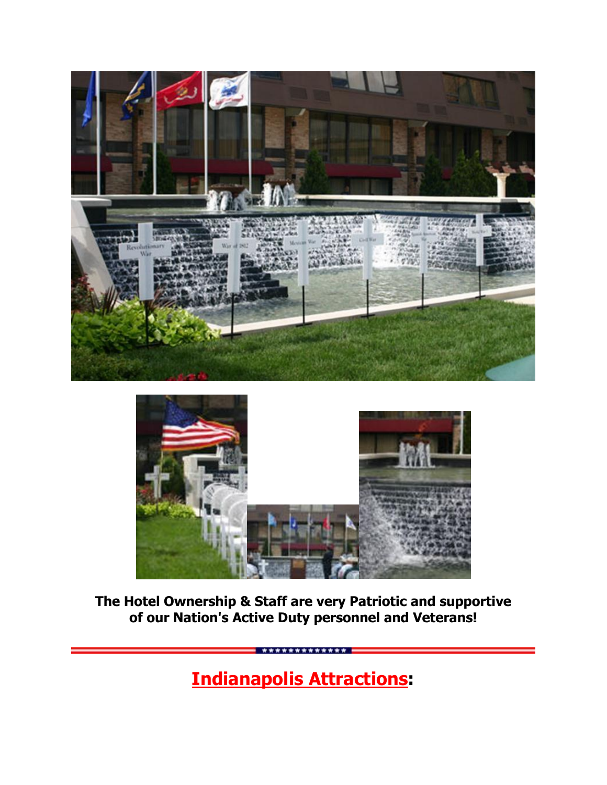



**The Hotel Ownership & Staff are very Patriotic and supportive of our Nation's Active Duty personnel and Veterans!**

**Indianapolis Attractions:**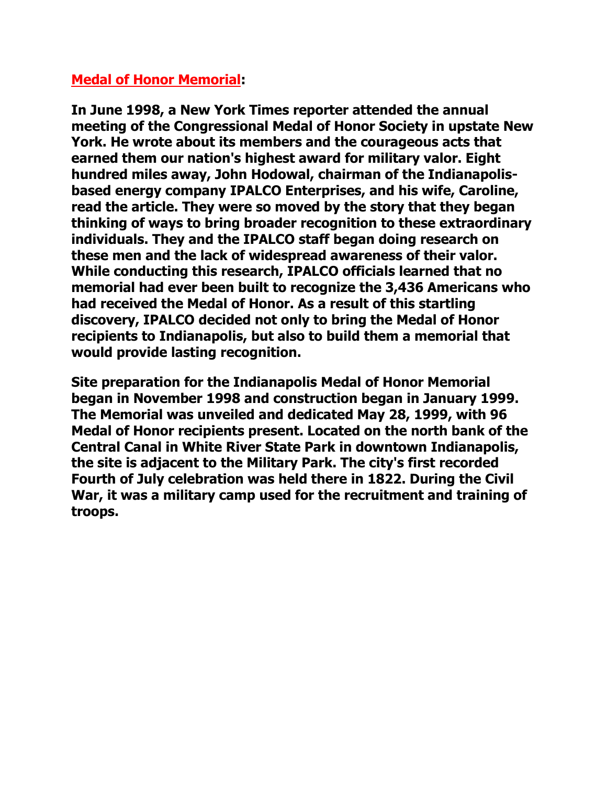#### **Medal of Honor Memorial:**

**In June 1998, a New York Times reporter attended the annual meeting of the Congressional Medal of Honor Society in upstate New York. He wrote about its members and the courageous acts that earned them our nation's highest award for military valor. Eight hundred miles away, John Hodowal, chairman of the Indianapolisbased energy company IPALCO Enterprises, and his wife, Caroline, read the article. They were so moved by the story that they began thinking of ways to bring broader recognition to these extraordinary individuals. They and the IPALCO staff began doing research on these men and the lack of widespread awareness of their valor. While conducting this research, IPALCO officials learned that no memorial had ever been built to recognize the 3,436 Americans who had received the Medal of Honor. As a result of this startling discovery, IPALCO decided not only to bring the Medal of Honor recipients to Indianapolis, but also to build them a memorial that would provide lasting recognition.**

**Site preparation for the Indianapolis Medal of Honor Memorial began in November 1998 and construction began in January 1999. The Memorial was unveiled and dedicated May 28, 1999, with 96 Medal of Honor recipients present. Located on the north bank of the Central Canal in White River State Park in downtown Indianapolis, the site is adjacent to the Military Park. The city's first recorded Fourth of July celebration was held there in 1822. During the Civil War, it was a military camp used for the recruitment and training of troops.**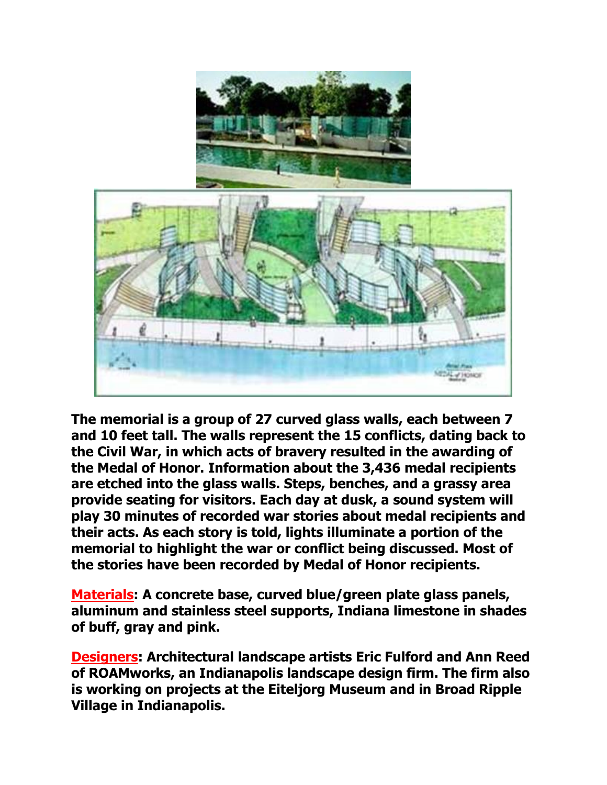

**The memorial is a group of 27 curved glass walls, each between 7 and 10 feet tall. The walls represent the 15 conflicts, dating back to the Civil War, in which acts of bravery resulted in the awarding of the Medal of Honor. Information about the 3,436 medal recipients are etched into the glass walls. Steps, benches, and a grassy area provide seating for visitors. Each day at dusk, a sound system will play 30 minutes of recorded war stories about medal recipients and their acts. As each story is told, lights illuminate a portion of the memorial to highlight the war or conflict being discussed. Most of the stories have been recorded by Medal of Honor recipients.**

**Materials: A concrete base, curved blue/green plate glass panels, aluminum and stainless steel supports, Indiana limestone in shades of buff, gray and pink.**

**Designers: Architectural landscape artists Eric Fulford and Ann Reed of ROAMworks, an Indianapolis landscape design firm. The firm also is working on projects at the Eiteljorg Museum and in Broad Ripple Village in Indianapolis.**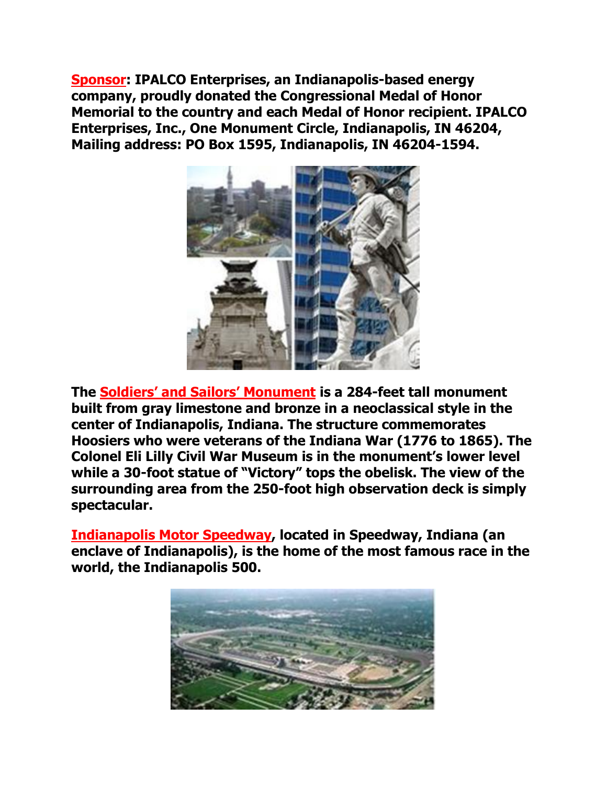**Sponsor: IPALCO Enterprises, an Indianapolis-based energy company, proudly donated the Congressional Medal of Honor Memorial to the country and each Medal of Honor recipient. IPALCO Enterprises, Inc., One Monument Circle, Indianapolis, IN 46204, Mailing address: PO Box 1595, Indianapolis, IN 46204-1594.** 



**The Soldier[s' and Sailors' Monument](http://www.ulib.iupui.edu/kade/soldiers.html) is a 284-feet tall monument built from gray limestone and bronze in a neoclassical style in the center of Indianapolis, Indiana. The structure commemorates Hoosiers who were veterans of the Indiana War (1776 to 1865). The Colonel Eli Lilly Civil War Museum is in the monument's lower level while a 30-foot statue of "Victory" tops the obelisk. The view of the surrounding area from the 250-foot high observation deck is simply spectacular.**

**Indianapolis Motor Speedway, located in [Speedway, Indiana](http://en.wikipedia.org/wiki/Speedway,_Indiana) (an [enclave](http://en.wikipedia.org/wiki/Enclave) of [Indianapolis\)](http://en.wikipedia.org/wiki/Indianapolis,_Indiana), is the home of the most famous race in the world, the [Indianapolis 500.](http://en.wikipedia.org/wiki/Indianapolis_500)**

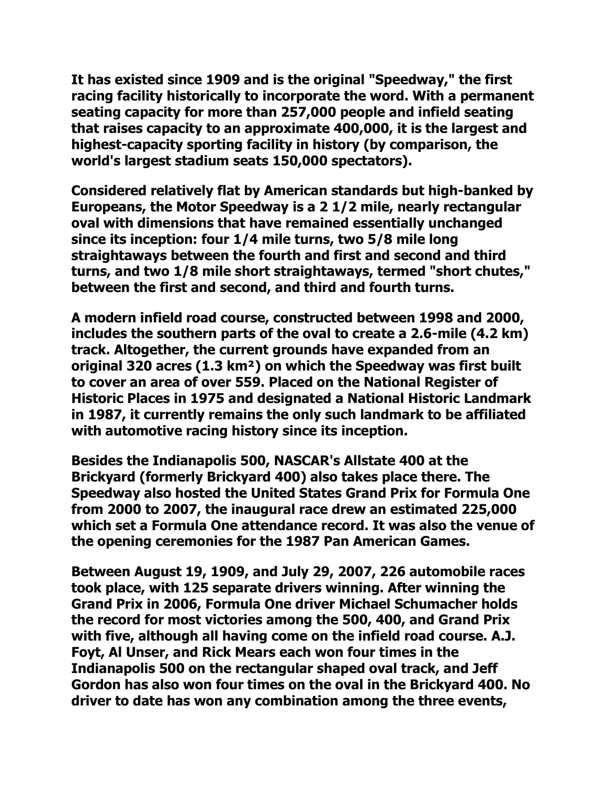**It has existed since 1909 and is the original "Speedway," the first racing facility historically to incorporate the word. With a permanent seating capacity for more than 257,000 people and infield seating that raises capacity to an approximate 400,000, it is the largest and highest-capacity sporting facility in history (by comparison, the [world's largest stadium](http://en.wikipedia.org/wiki/Rungrado_May_Day_Stadium) seats 150,000 spectators).**

**Considered relatively flat by American standards but high-banked by Europeans, the Motor Speedway is a 2 1/2 mile, nearly rectangular oval with dimensions that have remained essentially unchanged since its inception: four 1/4 mile turns, two 5/8 mile long straightaways between the fourth and first and second and third turns, and two 1/8 mile short straightaways, termed "short chutes," between the first and second, and third and fourth turns.**

**A modern [infield road course,](http://en.wikipedia.org/wiki/Roval) constructed between 1998 and 2000, includes the southern parts of the oval to create a 2.6-mile (4.2 km) track. Altogether, the current grounds have expanded from an original 320 acres (1.3 km²) on which the Speedway was first built to cover an area of over 559. Placed on the [National Register of](http://en.wikipedia.org/wiki/National_Register_of_Historic_Places)  [Historic Places](http://en.wikipedia.org/wiki/National_Register_of_Historic_Places) in 1975 and designated a [National Historic Landmark](http://en.wikipedia.org/wiki/National_Historic_Landmark) in 1987, it currently remains the only such landmark to be affiliated with automotive racing history since its inception.**

**Besides the [Indianapolis 500,](http://en.wikipedia.org/wiki/Indianapolis_500) [NASCAR'](http://en.wikipedia.org/wiki/NASCAR)s [Allstate 400 at the](http://en.wikipedia.org/wiki/Allstate_400_at_the_Brickyard)  [Brickyard](http://en.wikipedia.org/wiki/Allstate_400_at_the_Brickyard) (formerly Brickyard 400) also takes place there. The Speedway also hosted the [United States Grand Prix](http://en.wikipedia.org/wiki/Us_grand_prix#Indianapolis) for [Formula One](http://en.wikipedia.org/wiki/Formula_One) from 2000 to 2007, the inaugural race drew an estimated 225,000 which set a [Formula One](http://en.wikipedia.org/wiki/Formula_One) attendance record. It was also the venue of the opening ceremonies for the [1987 Pan American Games.](http://en.wikipedia.org/wiki/1987_Pan_American_Games)**

**Between [August 19,](http://en.wikipedia.org/wiki/August_19) [1909,](http://en.wikipedia.org/wiki/1909) and [July 29,](http://en.wikipedia.org/wiki/July_29) [2007,](http://en.wikipedia.org/wiki/2007) 226 automobile races took place, with 125 separate drivers winning. After winning the Grand Prix in [2006,](http://en.wikipedia.org/wiki/2006_United_States_Grand_Prix) [Formula One](http://en.wikipedia.org/wiki/Formula_One) driver [Michael Schumacher](http://en.wikipedia.org/wiki/Michael_Schumacher) holds the record for most victories among the 500, 400, and Grand Prix with five, although all having come on the infield road course. [A.J.](http://en.wikipedia.org/wiki/A.J._Foyt)  [Foyt,](http://en.wikipedia.org/wiki/A.J._Foyt) [Al Unser,](http://en.wikipedia.org/wiki/Al_Unser) and [Rick Mears](http://en.wikipedia.org/wiki/Rick_Mears) each won four times in the Indianapolis 500 on the rectangular shaped oval track, and [Jeff](http://en.wikipedia.org/wiki/Jeff_Gordon)  [Gordon](http://en.wikipedia.org/wiki/Jeff_Gordon) has also won four times on the oval in the [Brickyard 400.](http://en.wikipedia.org/wiki/Allstate_400_at_the_Brickyard) No driver to date has won any combination among the three events,**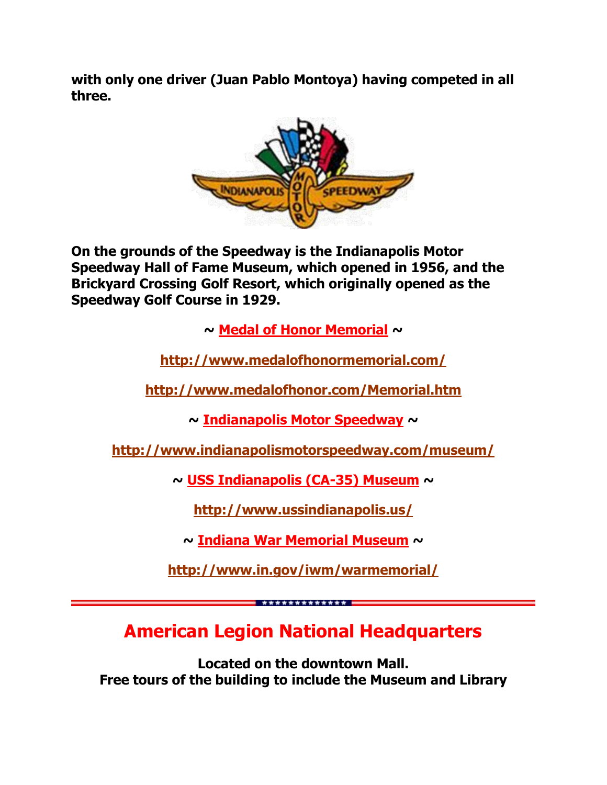**with only one driver [\(Juan Pablo Montoya\)](http://en.wikipedia.org/wiki/Juan_Pablo_Montoya) having competed in all three.**



**On the grounds of the Speedway is the [Indianapolis Motor](http://en.wikipedia.org/wiki/Indianapolis_Motor_Speedway_Hall_of_Fame_Museum)  [Speedway Hall of Fame Museum,](http://en.wikipedia.org/wiki/Indianapolis_Motor_Speedway_Hall_of_Fame_Museum) which opened in 1956, and the Brickyard Crossing Golf Resort, which originally opened as the Speedway Golf Course in 1929.**

**~ Medal of Honor Memorial ~**

**<http://www.medalofhonormemorial.com/>**

**<http://www.medalofhonor.com/Memorial.htm>**

**~ Indianapolis Motor Speedway ~**

**<http://www.indianapolismotorspeedway.com/museum/>**

**~ USS Indianapolis (CA-35) Museum ~**

**<http://www.ussindianapolis.us/>**

**~ Indiana War Memorial Museum ~**

**<http://www.in.gov/iwm/warmemorial/>**

**American Legion National Headquarters**

\*\*\*\*\*\*\*\*\*\*\*\*\*\*

**Located on the downtown Mall. Free tours of the building to include the Museum and Library**